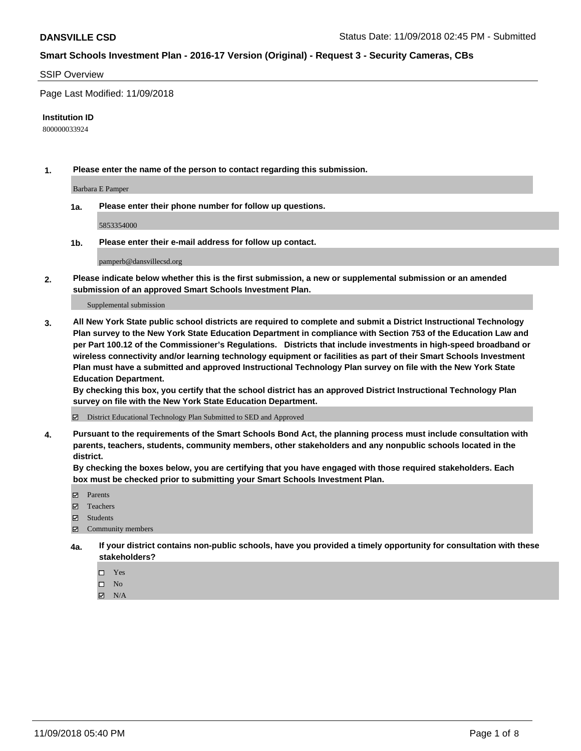#### SSIP Overview

Page Last Modified: 11/09/2018

#### **Institution ID**

800000033924

**1. Please enter the name of the person to contact regarding this submission.**

Barbara E Pamper

**1a. Please enter their phone number for follow up questions.**

5853354000

**1b. Please enter their e-mail address for follow up contact.**

pamperb@dansvillecsd.org

**2. Please indicate below whether this is the first submission, a new or supplemental submission or an amended submission of an approved Smart Schools Investment Plan.**

Supplemental submission

**3. All New York State public school districts are required to complete and submit a District Instructional Technology Plan survey to the New York State Education Department in compliance with Section 753 of the Education Law and per Part 100.12 of the Commissioner's Regulations. Districts that include investments in high-speed broadband or wireless connectivity and/or learning technology equipment or facilities as part of their Smart Schools Investment Plan must have a submitted and approved Instructional Technology Plan survey on file with the New York State Education Department.** 

**By checking this box, you certify that the school district has an approved District Instructional Technology Plan survey on file with the New York State Education Department.**

District Educational Technology Plan Submitted to SED and Approved

**4. Pursuant to the requirements of the Smart Schools Bond Act, the planning process must include consultation with parents, teachers, students, community members, other stakeholders and any nonpublic schools located in the district.** 

**By checking the boxes below, you are certifying that you have engaged with those required stakeholders. Each box must be checked prior to submitting your Smart Schools Investment Plan.**

- **□** Parents
- Teachers
- Students
- $\boxtimes$  Community members
- **4a. If your district contains non-public schools, have you provided a timely opportunity for consultation with these stakeholders?**
	- $\Box$  Yes
	- $\qquad \qquad$  No
	- $\blacksquare$  N/A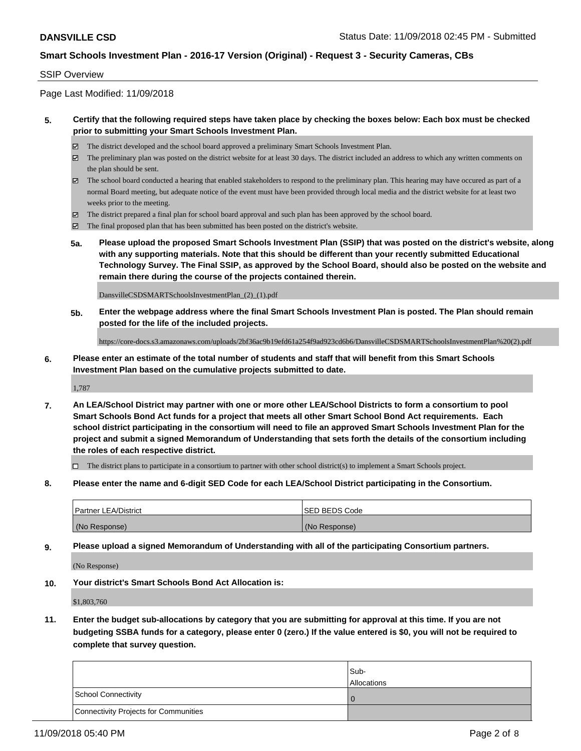## SSIP Overview

Page Last Modified: 11/09/2018

## **5. Certify that the following required steps have taken place by checking the boxes below: Each box must be checked prior to submitting your Smart Schools Investment Plan.**

- The district developed and the school board approved a preliminary Smart Schools Investment Plan.
- $\boxtimes$  The preliminary plan was posted on the district website for at least 30 days. The district included an address to which any written comments on the plan should be sent.
- $\boxtimes$  The school board conducted a hearing that enabled stakeholders to respond to the preliminary plan. This hearing may have occured as part of a normal Board meeting, but adequate notice of the event must have been provided through local media and the district website for at least two weeks prior to the meeting.
- The district prepared a final plan for school board approval and such plan has been approved by the school board.
- $\boxtimes$  The final proposed plan that has been submitted has been posted on the district's website.
- **5a. Please upload the proposed Smart Schools Investment Plan (SSIP) that was posted on the district's website, along with any supporting materials. Note that this should be different than your recently submitted Educational Technology Survey. The Final SSIP, as approved by the School Board, should also be posted on the website and remain there during the course of the projects contained therein.**

DansvilleCSDSMARTSchoolsInvestmentPlan\_(2)\_(1).pdf

**5b. Enter the webpage address where the final Smart Schools Investment Plan is posted. The Plan should remain posted for the life of the included projects.**

https://core-docs.s3.amazonaws.com/uploads/2bf36ac9b19efd61a254f9ad923cd6b6/DansvilleCSDSMARTSchoolsInvestmentPlan%20(2).pdf

**6. Please enter an estimate of the total number of students and staff that will benefit from this Smart Schools Investment Plan based on the cumulative projects submitted to date.**

1,787

**7. An LEA/School District may partner with one or more other LEA/School Districts to form a consortium to pool Smart Schools Bond Act funds for a project that meets all other Smart School Bond Act requirements. Each school district participating in the consortium will need to file an approved Smart Schools Investment Plan for the project and submit a signed Memorandum of Understanding that sets forth the details of the consortium including the roles of each respective district.**

 $\Box$  The district plans to participate in a consortium to partner with other school district(s) to implement a Smart Schools project.

**8. Please enter the name and 6-digit SED Code for each LEA/School District participating in the Consortium.**

| <b>Partner LEA/District</b> | <b>ISED BEDS Code</b> |
|-----------------------------|-----------------------|
| (No Response)               | (No Response)         |

**9. Please upload a signed Memorandum of Understanding with all of the participating Consortium partners.**

(No Response)

**10. Your district's Smart Schools Bond Act Allocation is:**

\$1,803,760

**11. Enter the budget sub-allocations by category that you are submitting for approval at this time. If you are not budgeting SSBA funds for a category, please enter 0 (zero.) If the value entered is \$0, you will not be required to complete that survey question.**

|                                              | Sub-<br><b>Allocations</b> |
|----------------------------------------------|----------------------------|
| <b>School Connectivity</b>                   |                            |
| <b>Connectivity Projects for Communities</b> |                            |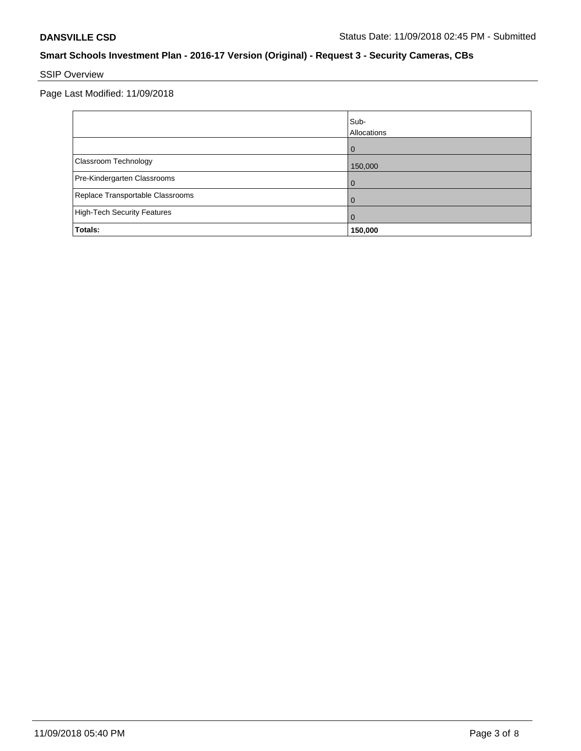# SSIP Overview

Page Last Modified: 11/09/2018

|                                    | Sub-<br>Allocations |
|------------------------------------|---------------------|
|                                    | $\Omega$            |
| Classroom Technology               | 150,000             |
| Pre-Kindergarten Classrooms        |                     |
| Replace Transportable Classrooms   |                     |
| <b>High-Tech Security Features</b> | $\Omega$            |
| <b>Totals:</b>                     | 150,000             |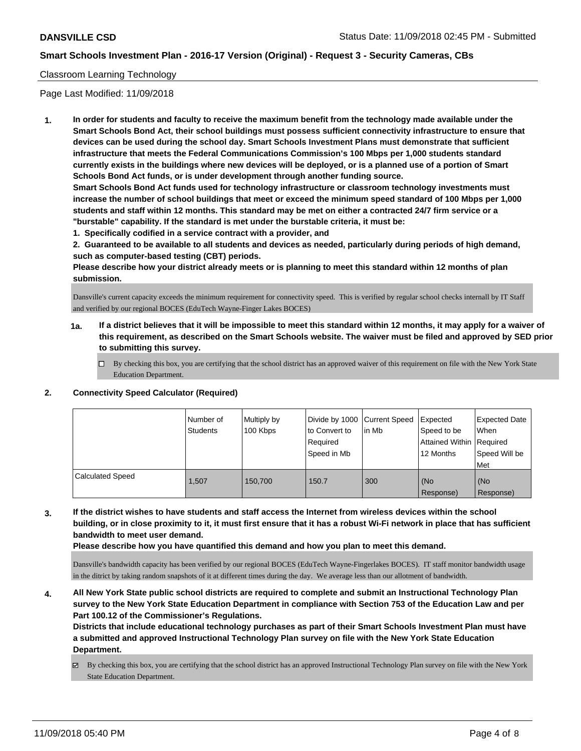## Classroom Learning Technology

Page Last Modified: 11/09/2018

**1. In order for students and faculty to receive the maximum benefit from the technology made available under the Smart Schools Bond Act, their school buildings must possess sufficient connectivity infrastructure to ensure that devices can be used during the school day. Smart Schools Investment Plans must demonstrate that sufficient infrastructure that meets the Federal Communications Commission's 100 Mbps per 1,000 students standard currently exists in the buildings where new devices will be deployed, or is a planned use of a portion of Smart Schools Bond Act funds, or is under development through another funding source.**

**Smart Schools Bond Act funds used for technology infrastructure or classroom technology investments must increase the number of school buildings that meet or exceed the minimum speed standard of 100 Mbps per 1,000 students and staff within 12 months. This standard may be met on either a contracted 24/7 firm service or a "burstable" capability. If the standard is met under the burstable criteria, it must be:**

**1. Specifically codified in a service contract with a provider, and**

**2. Guaranteed to be available to all students and devices as needed, particularly during periods of high demand, such as computer-based testing (CBT) periods.**

**Please describe how your district already meets or is planning to meet this standard within 12 months of plan submission.**

Dansville's current capacity exceeds the minimum requirement for connectivity speed. This is verified by regular school checks internall by IT Staff and verified by our regional BOCES (EduTech Wayne-Finger Lakes BOCES)

- **1a. If a district believes that it will be impossible to meet this standard within 12 months, it may apply for a waiver of this requirement, as described on the Smart Schools website. The waiver must be filed and approved by SED prior to submitting this survey.**
	- By checking this box, you are certifying that the school district has an approved waiver of this requirement on file with the New York State Education Department.

#### **2. Connectivity Speed Calculator (Required)**

|                         | Number of<br><b>Students</b> | Multiply by<br>100 Kbps | Divide by 1000 Current Speed<br>to Convert to<br>Required<br>Speed in Mb | l in Mb | Expected<br>Speed to be<br>Attained Within   Required<br>12 Months | <b>Expected Date</b><br>When<br>Speed Will be<br>Met |
|-------------------------|------------------------------|-------------------------|--------------------------------------------------------------------------|---------|--------------------------------------------------------------------|------------------------------------------------------|
| <b>Calculated Speed</b> | 1.507                        | 150.700                 | 150.7                                                                    | 300     | (No<br>Response)                                                   | (No<br>Response)                                     |

**3. If the district wishes to have students and staff access the Internet from wireless devices within the school building, or in close proximity to it, it must first ensure that it has a robust Wi-Fi network in place that has sufficient bandwidth to meet user demand.**

**Please describe how you have quantified this demand and how you plan to meet this demand.**

Dansville's bandwidth capacity has been verified by our regional BOCES (EduTech Wayne-Fingerlakes BOCES). IT staff monitor bandwidth usage in the ditrict by taking random snapshots of it at different times during the day. We average less than our allotment of bandwidth.

**4. All New York State public school districts are required to complete and submit an Instructional Technology Plan survey to the New York State Education Department in compliance with Section 753 of the Education Law and per Part 100.12 of the Commissioner's Regulations.**

**Districts that include educational technology purchases as part of their Smart Schools Investment Plan must have a submitted and approved Instructional Technology Plan survey on file with the New York State Education Department.**

By checking this box, you are certifying that the school district has an approved Instructional Technology Plan survey on file with the New York State Education Department.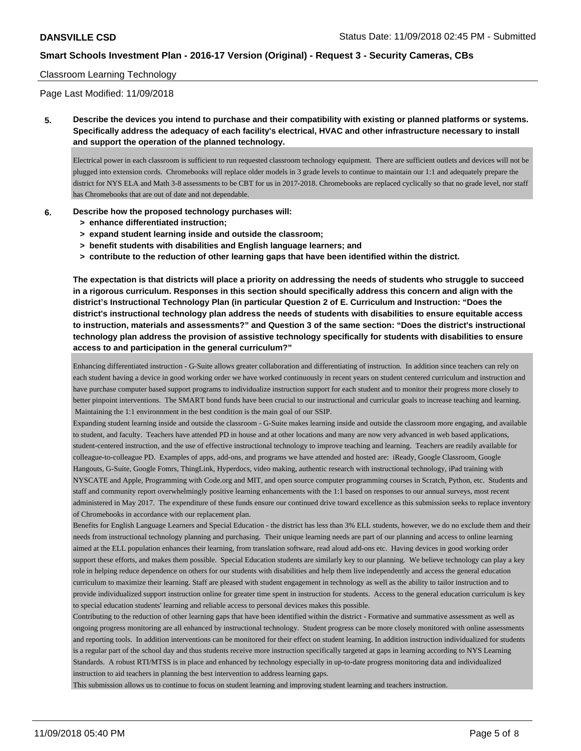#### Classroom Learning Technology

Page Last Modified: 11/09/2018

**5. Describe the devices you intend to purchase and their compatibility with existing or planned platforms or systems. Specifically address the adequacy of each facility's electrical, HVAC and other infrastructure necessary to install and support the operation of the planned technology.**

Electrical power in each classroom is sufficient to run requested classroom technology equipment. There are sufficient outlets and devices will not be plugged into extension cords. Chromebooks will replace older models in 3 grade levels to continue to maintain our 1:1 and adequately prepare the district for NYS ELA and Math 3-8 assessments to be CBT for us in 2017-2018. Chromebooks are replaced cyclically so that no grade level, nor staff has Chromebooks that are out of date and not dependable.

#### **6. Describe how the proposed technology purchases will:**

- **> enhance differentiated instruction;**
- **> expand student learning inside and outside the classroom;**
- **> benefit students with disabilities and English language learners; and**
- **> contribute to the reduction of other learning gaps that have been identified within the district.**

**The expectation is that districts will place a priority on addressing the needs of students who struggle to succeed in a rigorous curriculum. Responses in this section should specifically address this concern and align with the district's Instructional Technology Plan (in particular Question 2 of E. Curriculum and Instruction: "Does the district's instructional technology plan address the needs of students with disabilities to ensure equitable access to instruction, materials and assessments?" and Question 3 of the same section: "Does the district's instructional technology plan address the provision of assistive technology specifically for students with disabilities to ensure access to and participation in the general curriculum?"**

Enhancing differentiated instruction - G-Suite allows greater collaboration and differentiating of instruction. In addition since teachers can rely on each student having a device in good working order we have worked continuously in recent years on student centered curriculum and instruction and have purchase computer based support programs to individualize instruction support for each student and to monitor their progress more closely to better pinpoint interventions. The SMART bond funds have been crucial to our instructional and curricular goals to increase teaching and learning. Maintaining the 1:1 environnment in the best condition is the main goal of our SSIP.

Expanding student learning inside and outside the classroom - G-Suite makes learning inside and outside the classroom more engaging, and available to student, and faculty. Teachers have attended PD in house and at other locations and many are now very advanced in web based applications, student-centered instruction, and the use of effective instructional technology to improve teaching and learning. Teachers are readily available for colleague-to-colleague PD. Examples of apps, add-ons, and programs we have attended and hosted are: iReady, Google Classroom, Google Hangouts, G-Suite, Google Fomrs, ThingLink, Hyperdocs, video making, authentic research with instructional technology, iPad training with NYSCATE and Apple, Programming with Code.org and MIT, and open source computer programming courses in Scratch, Python, etc. Students and staff and community report overwhelmingly positive learning enhancements with the 1:1 based on responses to our annual surveys, most recent administered in May 2017. The expenditure of these funds ensure our continued drive toward excellence as this submission seeks to replace inventory of Chromebooks in accordance with our replacement plan.

Benefits for English Language Learners and Special Education - the district has less than 3% ELL students, however, we do no exclude them and their needs from instructional technology planning and purchasing. Their unique learning needs are part of our planning and access to online learning aimed at the ELL population enhances their learning, from translation software, read aloud add-ons etc. Having devices in good working order support these efforts, and makes them possible. Special Education students are similarly key to our planning. We believe technology can play a key role in helping reduce dependence on others for our students with disabilities and help them live independently and access the general education curriculum to maximize their learning. Staff are pleased with student engagement in technology as well as the ability to tailor instruction and to provide individualized support instruction online for greater time spent in instruction for students. Access to the general education curriculum is key to special education students' learning and reliable access to personal devices makes this possible.

Contributing to the reduction of other learning gaps that have been identified within the district - Formative and summative assessment as well as ongoing progress monitoring are all enhanced by instructional technology. Student progress can be more closely monitored with online assessments and reporting tools. In addition interventions can be monitored for their effect on student learning. In addition instruction individualized for students is a regular part of the school day and thus students receive more instruction specifically targeted at gaps in learning according to NYS Learning Standards. A robust RTI/MTSS is in place and enhanced by technology especially in up-to-date progress monitoring data and individualized instruction to aid teachers in planning the best intervention to address learning gaps.

This submission allows us to continue to focus on student learning and improving student learning and teachers instruction.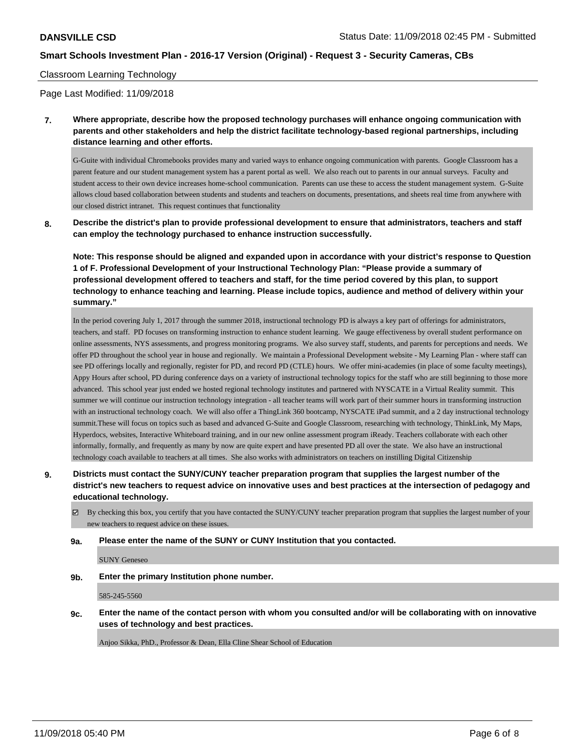#### Classroom Learning Technology

Page Last Modified: 11/09/2018

**7. Where appropriate, describe how the proposed technology purchases will enhance ongoing communication with parents and other stakeholders and help the district facilitate technology-based regional partnerships, including distance learning and other efforts.**

G-Guite with individual Chromebooks provides many and varied ways to enhance ongoing communication with parents. Google Classroom has a parent feature and our student management system has a parent portal as well. We also reach out to parents in our annual surveys. Faculty and student access to their own device increases home-school communication. Parents can use these to access the student management system. G-Suite allows cloud based collaboration between students and students and teachers on documents, presentations, and sheets real time from anywhere with our closed district intranet. This request continues that functionality

**8. Describe the district's plan to provide professional development to ensure that administrators, teachers and staff can employ the technology purchased to enhance instruction successfully.**

**Note: This response should be aligned and expanded upon in accordance with your district's response to Question 1 of F. Professional Development of your Instructional Technology Plan: "Please provide a summary of professional development offered to teachers and staff, for the time period covered by this plan, to support technology to enhance teaching and learning. Please include topics, audience and method of delivery within your summary."**

In the period covering July 1, 2017 through the summer 2018, instructional technology PD is always a key part of offerings for administrators, teachers, and staff. PD focuses on transforming instruction to enhance student learning. We gauge effectiveness by overall student performance on online assessments, NYS assessments, and progress monitoring programs. We also survey staff, students, and parents for perceptions and needs. We offer PD throughout the school year in house and regionally. We maintain a Professional Development website - My Learning Plan - where staff can see PD offerings locally and regionally, register for PD, and record PD (CTLE) hours. We offer mini-academies (in place of some faculty meetings), Appy Hours after school, PD during conference days on a variety of instructional technology topics for the staff who are still beginning to those more advanced. This school year just ended we hosted regional technology institutes and partnered with NYSCATE in a Virtual Reality summit. This summer we will continue our instruction technology integration - all teacher teams will work part of their summer hours in transforming instruction with an instructional technology coach. We will also offer a ThingLink 360 bootcamp, NYSCATE iPad summit, and a 2 day instructional technology summit.These will focus on topics such as based and advanced G-Suite and Google Classroom, researching with technology, ThinkLink, My Maps, Hyperdocs, websites, Interactive Whiteboard training, and in our new online assessment program iReady. Teachers collaborate with each other informally, formally, and frequently as many by now are quite expert and have presented PD all over the state. We also have an instructional technology coach available to teachers at all times. She also works with administrators on teachers on instilling Digital Citizenship

## **9. Districts must contact the SUNY/CUNY teacher preparation program that supplies the largest number of the district's new teachers to request advice on innovative uses and best practices at the intersection of pedagogy and educational technology.**

By checking this box, you certify that you have contacted the SUNY/CUNY teacher preparation program that supplies the largest number of your new teachers to request advice on these issues.

#### **9a. Please enter the name of the SUNY or CUNY Institution that you contacted.**

SUNY Geneseo

**9b. Enter the primary Institution phone number.**

585-245-5560

**9c. Enter the name of the contact person with whom you consulted and/or will be collaborating with on innovative uses of technology and best practices.**

Anjoo Sikka, PhD., Professor & Dean, Ella Cline Shear School of Education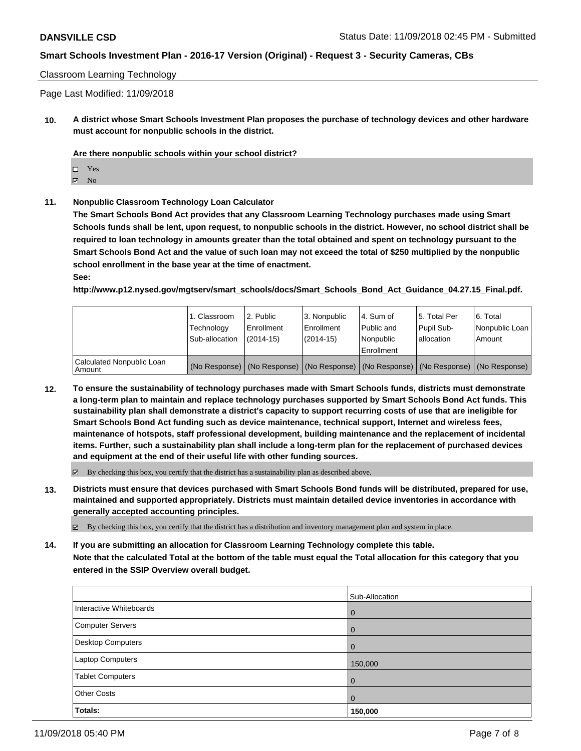#### Classroom Learning Technology

Page Last Modified: 11/09/2018

**10. A district whose Smart Schools Investment Plan proposes the purchase of technology devices and other hardware must account for nonpublic schools in the district.**

**Are there nonpublic schools within your school district?**

Yes

 $\boxtimes$  No

**11. Nonpublic Classroom Technology Loan Calculator**

**The Smart Schools Bond Act provides that any Classroom Learning Technology purchases made using Smart Schools funds shall be lent, upon request, to nonpublic schools in the district. However, no school district shall be required to loan technology in amounts greater than the total obtained and spent on technology pursuant to the Smart Schools Bond Act and the value of such loan may not exceed the total of \$250 multiplied by the nonpublic school enrollment in the base year at the time of enactment.**

**See:**

**http://www.p12.nysed.gov/mgtserv/smart\_schools/docs/Smart\_Schools\_Bond\_Act\_Guidance\_04.27.15\_Final.pdf.**

|                                       | 1. Classroom<br>Technology<br>Sub-allocation | 2. Public<br>Enrollment<br>(2014-15) | l 3. Nonpublic<br>l Enrollment<br>$(2014 - 15)$ | I4. Sum of<br>Public and<br>l Nonpublic<br>Enrollment                                         | 15. Total Per<br>Pupil Sub-<br>lallocation | l 6. Total<br>Nonpublic Loan<br>Amount |
|---------------------------------------|----------------------------------------------|--------------------------------------|-------------------------------------------------|-----------------------------------------------------------------------------------------------|--------------------------------------------|----------------------------------------|
| Calculated Nonpublic Loan<br>  Amount |                                              |                                      |                                                 | (No Response)   (No Response)   (No Response)   (No Response)   (No Response)   (No Response) |                                            |                                        |

**12. To ensure the sustainability of technology purchases made with Smart Schools funds, districts must demonstrate a long-term plan to maintain and replace technology purchases supported by Smart Schools Bond Act funds. This sustainability plan shall demonstrate a district's capacity to support recurring costs of use that are ineligible for Smart Schools Bond Act funding such as device maintenance, technical support, Internet and wireless fees, maintenance of hotspots, staff professional development, building maintenance and the replacement of incidental items. Further, such a sustainability plan shall include a long-term plan for the replacement of purchased devices and equipment at the end of their useful life with other funding sources.**

 $\boxtimes$  By checking this box, you certify that the district has a sustainability plan as described above.

**13. Districts must ensure that devices purchased with Smart Schools Bond funds will be distributed, prepared for use, maintained and supported appropriately. Districts must maintain detailed device inventories in accordance with generally accepted accounting principles.**

By checking this box, you certify that the district has a distribution and inventory management plan and system in place.

**14. If you are submitting an allocation for Classroom Learning Technology complete this table. Note that the calculated Total at the bottom of the table must equal the Total allocation for this category that you entered in the SSIP Overview overall budget.**

|                          | Sub-Allocation |
|--------------------------|----------------|
| Interactive Whiteboards  | $\mathbf 0$    |
| <b>Computer Servers</b>  | $\mathbf 0$    |
| <b>Desktop Computers</b> | $\Omega$       |
| <b>Laptop Computers</b>  | 150,000        |
| <b>Tablet Computers</b>  | 0              |
| <b>Other Costs</b>       | $\Omega$       |
| Totals:                  | 150,000        |